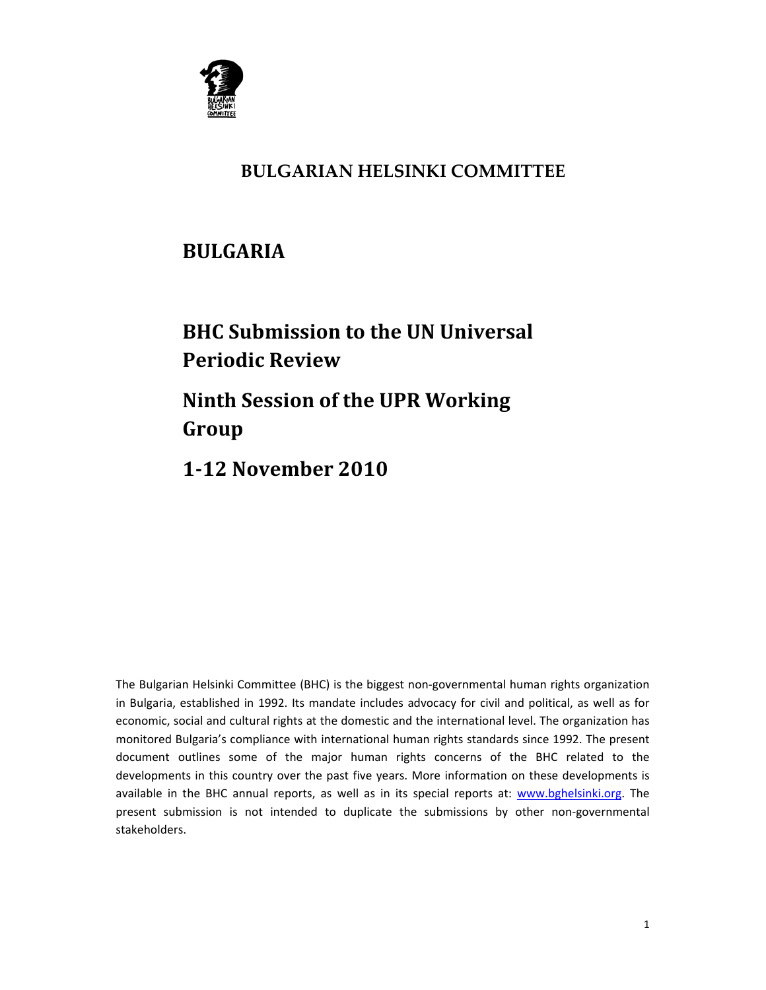

## **BULGARIAN HELSINKI COMMITTEE**

## **BULGARIA**

# **BHC Submission to the UN Universal Periodic Review Ninth Session of the UPR Working**

**Group**

**112 November 2010**

The Bulgarian Helsinki Committee (BHC) is the biggest non-governmental human rights organization in Bulgaria, established in 1992. Its mandate includes advocacy for civil and political, as well as for economic, social and cultural rights at the domestic and the international level. The organization has monitored Bulgaria's compliance with international human rights standards since 1992. The present document outlines some of the major human rights concerns of the BHC related to the developments in this country over the past five years. More information on these developments is available in the BHC annual reports, as well as in its special reports at: www.bghelsinki.org. The present submission is not intended to duplicate the submissions by other non‐governmental stakeholders.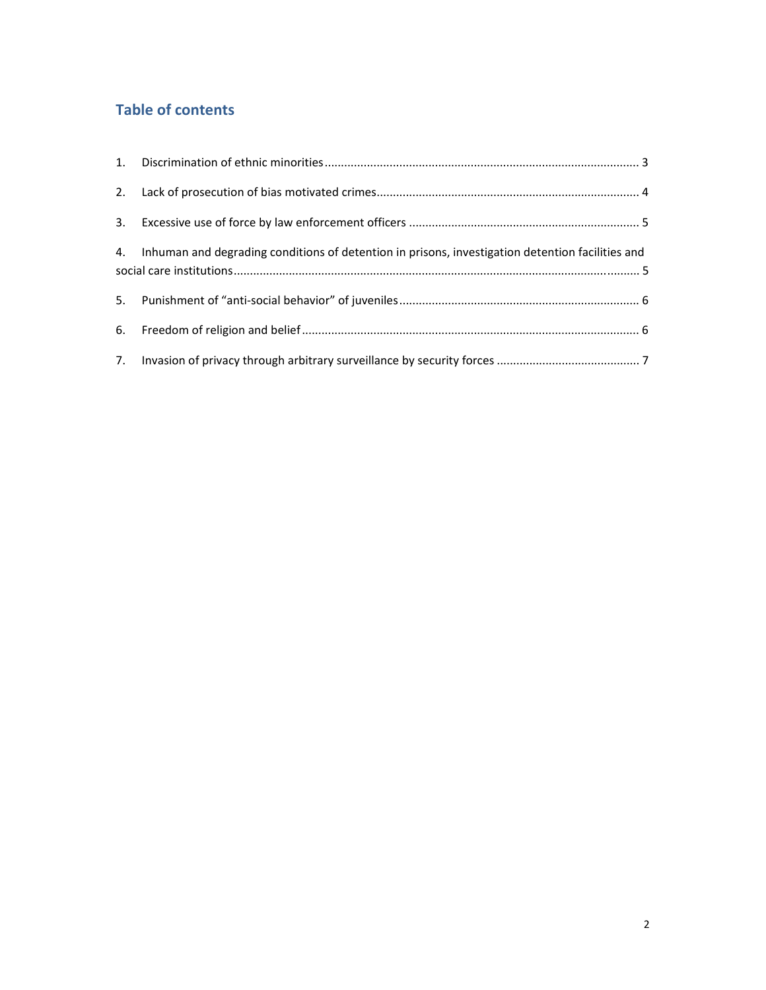### **Table of contents**

| 4. Inhuman and degrading conditions of detention in prisons, investigation detention facilities and |  |
|-----------------------------------------------------------------------------------------------------|--|
|                                                                                                     |  |
|                                                                                                     |  |
|                                                                                                     |  |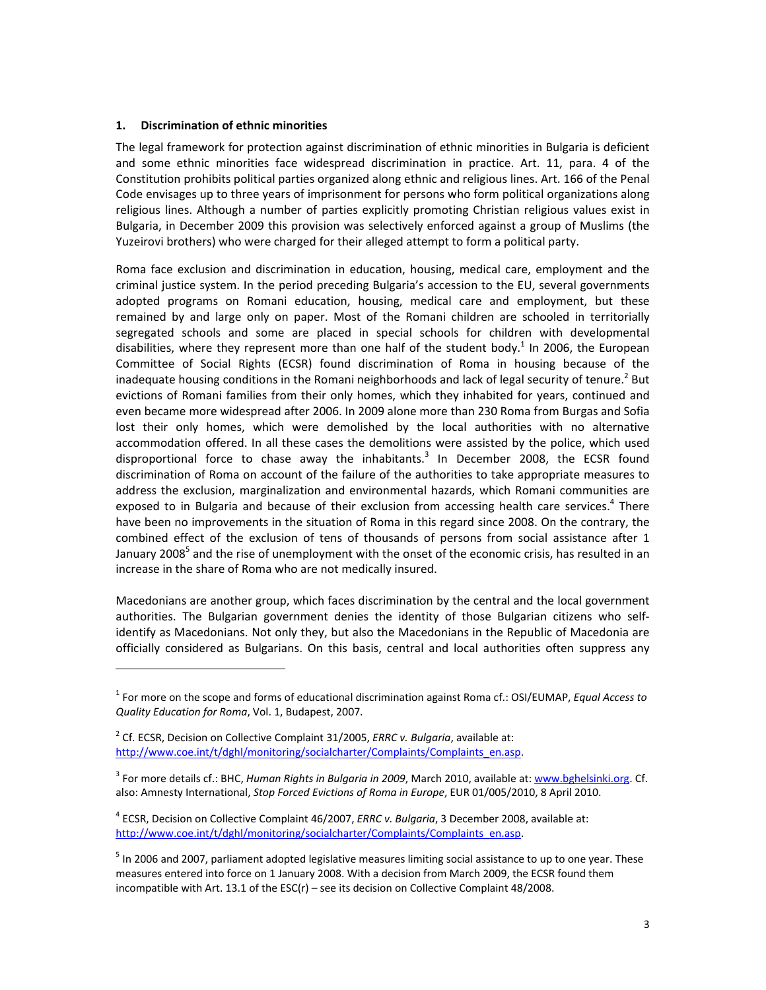#### **1. Discrimination of ethnic minorities**

The legal framework for protection against discrimination of ethnic minorities in Bulgaria is deficient and some ethnic minorities face widespread discrimination in practice. Art. 11, para. 4 of the Constitution prohibits political parties organized along ethnic and religious lines. Art. 166 of the Penal Code envisages up to three years of imprisonment for persons who form political organizations along religious lines. Although a number of parties explicitly promoting Christian religious values exist in Bulgaria, in December 2009 this provision was selectively enforced against a group of Muslims (the Yuzeirovi brothers) who were charged for their alleged attempt to form a political party.

Roma face exclusion and discrimination in education, housing, medical care, employment and the criminal justice system. In the period preceding Bulgaria's accession to the EU, several governments adopted programs on Romani education, housing, medical care and employment, but these remained by and large only on paper. Most of the Romani children are schooled in territorially segregated schools and some are placed in special schools for children with developmental disabilities, where they represent more than one half of the student body.<sup>1</sup> In 2006, the European Committee of Social Rights (ECSR) found discrimination of Roma in housing because of the inadequate housing conditions in the Romani neighborhoods and lack of legal security of tenure.<sup>2</sup> But evictions of Romani families from their only homes, which they inhabited for years, continued and even became more widespread after 2006. In 2009 alone more than 230 Roma from Burgas and Sofia lost their only homes, which were demolished by the local authorities with no alternative accommodation offered. In all these cases the demolitions were assisted by the police, which used disproportional force to chase away the inhabitants. $3$  In December 2008, the ECSR found discrimination of Roma on account of the failure of the authorities to take appropriate measures to address the exclusion, marginalization and environmental hazards, which Romani communities are exposed to in Bulgaria and because of their exclusion from accessing health care services.<sup>4</sup> There have been no improvements in the situation of Roma in this regard since 2008. On the contrary, the combined effect of the exclusion of tens of thousands of persons from social assistance after 1 January 2008<sup>5</sup> and the rise of unemployment with the onset of the economic crisis, has resulted in an increase in the share of Roma who are not medically insured.

Macedonians are another group, which faces discrimination by the central and the local government authorities. The Bulgarian government denies the identity of those Bulgarian citizens who self‐ identify as Macedonians. Not only they, but also the Macedonians in the Republic of Macedonia are officially considered as Bulgarians. On this basis, central and local authorities often suppress any

<sup>1</sup> For more on the scope and forms of educational discrimination against Roma cf.: OSI/EUMAP, *Equal Access to Quality Education for Roma*, Vol. 1, Budapest, 2007.

<sup>2</sup> Cf. ECSR, Decision on Collective Complaint 31/2005, *ERRC v. Bulgaria*, available at: http://www.coe.int/t/dghl/monitoring/socialcharter/Complaints/Complaints\_en.asp.

<sup>3</sup> For more details cf.: BHC, *Human Rights in Bulgaria in 2009*, March 2010, available at: www.bghelsinki.org. Cf. also: Amnesty International, *Stop Forced Evictions of Roma in Europe*, EUR 01/005/2010, 8 April 2010.

<sup>4</sup> ECSR, Decision on Collective Complaint 46/2007, *ERRC v. Bulgaria*, 3 December 2008, available at: http://www.coe.int/t/dghl/monitoring/socialcharter/Complaints/Complaints\_en.asp.

<sup>5</sup> In 2006 and 2007, parliament adopted legislative measures limiting social assistance to up to one year. These measures entered into force on 1 January 2008. With a decision from March 2009, the ECSR found them incompatible with Art. 13.1 of the ESC(r) – see its decision on Collective Complaint 48/2008.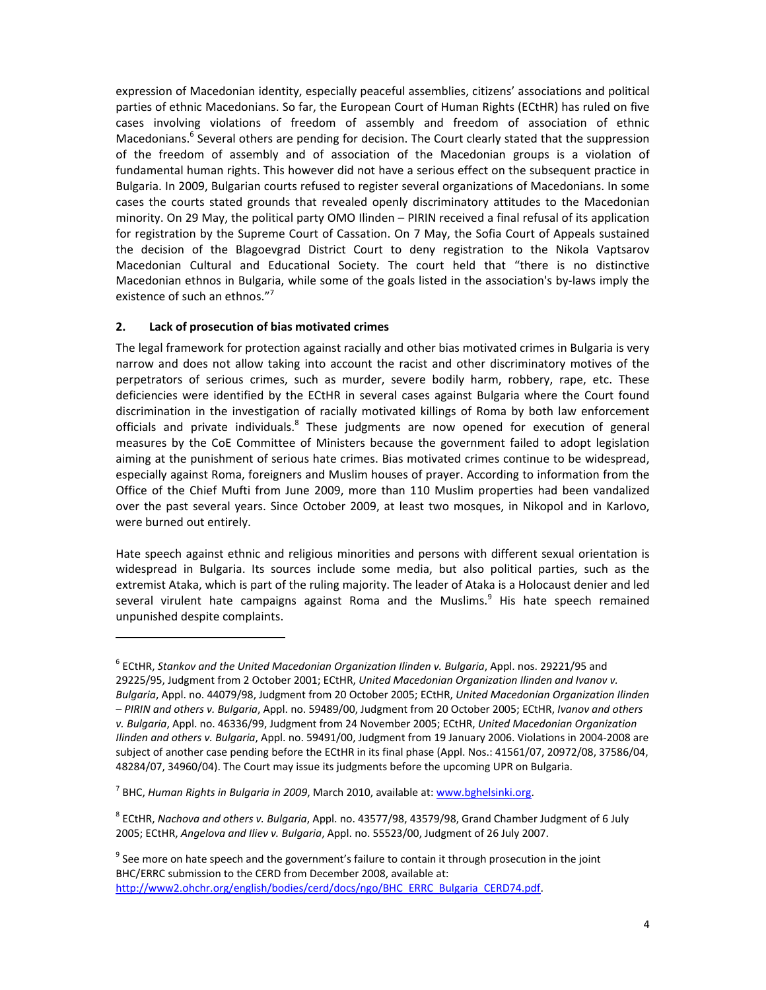expression of Macedonian identity, especially peaceful assemblies, citizens' associations and political parties of ethnic Macedonians. So far, the European Court of Human Rights (ECtHR) has ruled on five cases involving violations of freedom of assembly and freedom of association of ethnic Macedonians.<sup>6</sup> Several others are pending for decision. The Court clearly stated that the suppression of the freedom of assembly and of association of the Macedonian groups is a violation of fundamental human rights. This however did not have a serious effect on the subsequent practice in Bulgaria. In 2009, Bulgarian courts refused to register several organizations of Macedonians. In some cases the courts stated grounds that revealed openly discriminatory attitudes to the Macedonian minority. On 29 May, the political party OMO Ilinden – PIRIN received a final refusal of its application for registration by the Supreme Court of Cassation. On 7 May, the Sofia Court of Appeals sustained the decision of the Blagoevgrad District Court to deny registration to the Nikola Vaptsarov Macedonian Cultural and Educational Society. The court held that "there is no distinctive Macedonian ethnos in Bulgaria, while some of the goals listed in the association's by-laws imply the existence of such an ethnos."<sup>7</sup>

#### **2. Lack of prosecution of bias motivated crimes**

The legal framework for protection against racially and other bias motivated crimes in Bulgaria is very narrow and does not allow taking into account the racist and other discriminatory motives of the perpetrators of serious crimes, such as murder, severe bodily harm, robbery, rape, etc. These deficiencies were identified by the ECtHR in several cases against Bulgaria where the Court found discrimination in the investigation of racially motivated killings of Roma by both law enforcement officials and private individuals.<sup>8</sup> These judgments are now opened for execution of general measures by the CoE Committee of Ministers because the government failed to adopt legislation aiming at the punishment of serious hate crimes. Bias motivated crimes continue to be widespread, especially against Roma, foreigners and Muslim houses of prayer. According to information from the Office of the Chief Mufti from June 2009, more than 110 Muslim properties had been vandalized over the past several years. Since October 2009, at least two mosques, in Nikopol and in Karlovo, were burned out entirely.

Hate speech against ethnic and religious minorities and persons with different sexual orientation is widespread in Bulgaria. Its sources include some media, but also political parties, such as the extremist Ataka, which is part of the ruling majority. The leader of Ataka is a Holocaust denier and led several virulent hate campaigns against Roma and the Muslims. $9$  His hate speech remained unpunished despite complaints.

<sup>6</sup> ECtHR, *Stankov and the United Macedonian Organization Ilinden v. Bulgaria*, Appl. nos. 29221/95 and 29225/95, Judgment from 2 October 2001; ECtHR, *United Macedonian Organization Ilinden and Ivanov v. Bulgaria*, Appl. no. 44079/98, Judgment from 20 October 2005; ECtHR, *United Macedonian Organization Ilinden – PIRIN and others v. Bulgaria*, Appl. no. 59489/00, Judgment from 20 October 2005; ECtHR, *Ivanov and others v. Bulgaria*, Appl. no. 46336/99, Judgment from 24 November 2005; ECtHR, *United Macedonian Organization Ilinden and others v. Bulgaria*, Appl. no. 59491/00, Judgment from 19 January 2006. Violations in 2004‐2008 are subject of another case pending before the ECtHR in its final phase (Appl. Nos.: 41561/07, 20972/08, 37586/04, 48284/07, 34960/04). The Court may issue its judgments before the upcoming UPR on Bulgaria.

<sup>7</sup> BHC, *Human Rights in Bulgaria in 2009*, March 2010, available at: www.bghelsinki.org.

<sup>8</sup> ECtHR, *Nachova and others v. Bulgaria*, Appl. no. 43577/98, 43579/98, Grand Chamber Judgment of 6 July 2005; ECtHR, *Angelova and Iliev v. Bulgaria*, Appl. no. 55523/00, Judgment of 26 July 2007.

 $9$  See more on hate speech and the government's failure to contain it through prosecution in the joint BHC/ERRC submission to the CERD from December 2008, available at: http://www2.ohchr.org/english/bodies/cerd/docs/ngo/BHC\_ERRC\_Bulgaria\_CERD74.pdf.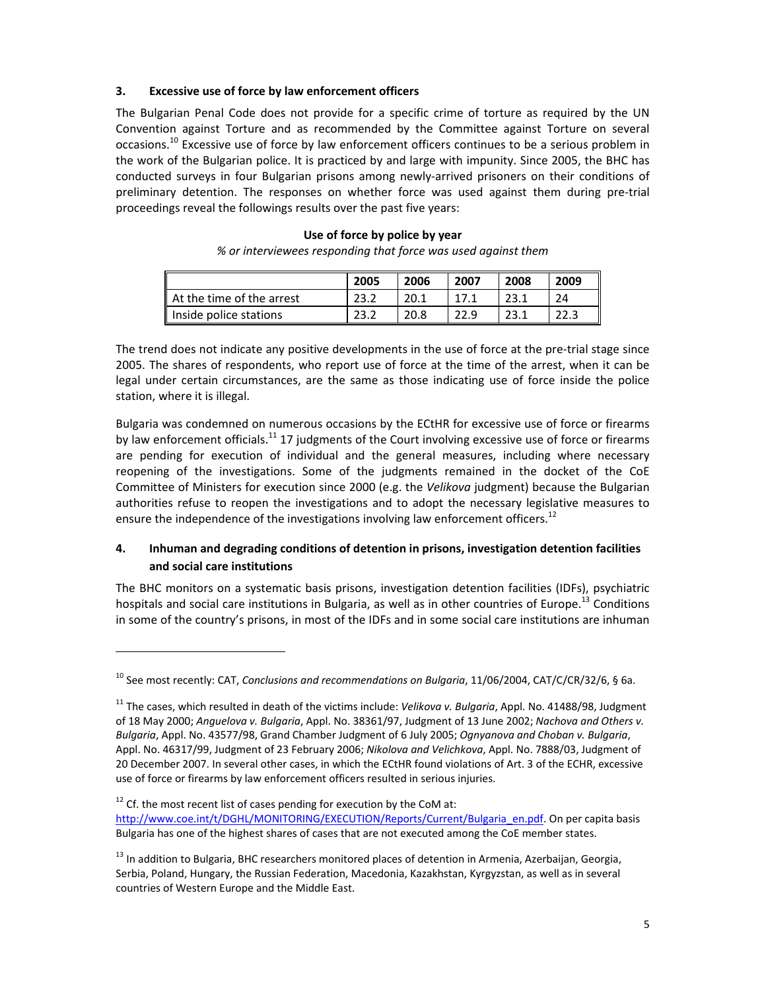#### **3. Excessive use of force by law enforcement officers**

The Bulgarian Penal Code does not provide for a specific crime of torture as required by the UN Convention against Torture and as recommended by the Committee against Torture on several occasions.<sup>10</sup> Excessive use of force by law enforcement officers continues to be a serious problem in the work of the Bulgarian police. It is practiced by and large with impunity. Since 2005, the BHC has conducted surveys in four Bulgarian prisons among newly‐arrived prisoners on their conditions of preliminary detention. The responses on whether force was used against them during pre‐trial proceedings reveal the followings results over the past five years:

## **2005 2006 2007 2008 2009** At the time of the arrest 23.2 20.1 17.1 23.1 24 Inside police stations 23.2 20.8 22.9 23.1 22.3

**Use of force by police by year** *% or interviewees responding that force was used against them*

The trend does not indicate any positive developments in the use of force at the pre-trial stage since 2005. The shares of respondents, who report use of force at the time of the arrest, when it can be legal under certain circumstances, are the same as those indicating use of force inside the police station, where it is illegal.

Bulgaria was condemned on numerous occasions by the ECtHR for excessive use of force or firearms by law enforcement officials.<sup>11</sup> 17 judgments of the Court involving excessive use of force or firearms are pending for execution of individual and the general measures, including where necessary reopening of the investigations. Some of the judgments remained in the docket of the CoE Committee of Ministers for execution since 2000 (e.g. the *Velikova* judgment) because the Bulgarian authorities refuse to reopen the investigations and to adopt the necessary legislative measures to ensure the independence of the investigations involving law enforcement officers.<sup>12</sup>

#### **4. Inhuman and degrading conditions of detention in prisons, investigation detention facilities and social care institutions**

The BHC monitors on a systematic basis prisons, investigation detention facilities (IDFs), psychiatric hospitals and social care institutions in Bulgaria, as well as in other countries of Europe.<sup>13</sup> Conditions in some of the country's prisons, in most of the IDFs and in some social care institutions are inhuman

 $12$  Cf. the most recent list of cases pending for execution by the CoM at: http://www.coe.int/t/DGHL/MONITORING/EXECUTION/Reports/Current/Bulgaria\_en.pdf. On per capita basis Bulgaria has one of the highest shares of cases that are not executed among the CoE member states.

<sup>10</sup> See most recently: CAT, *Conclusions and recommendations on Bulgaria*, 11/06/2004, CAT/C/CR/32/6, § 6a.

<sup>11</sup> The cases, which resulted in death of the victims include: *Velikova v. Bulgaria*, Appl. No. 41488/98, Judgment of 18 May 2000; *Anguelova v. Bulgaria*, Appl. No. 38361/97, Judgment of 13 June 2002; *Nachova and Others v. Bulgaria*, Appl. No. 43577/98, Grand Chamber Judgment of 6 July 2005; *Ognyanova and Choban v. Bulgaria*, Appl. No. 46317/99, Judgment of 23 February 2006; *Nikolova and Velichkova*, Appl. No. 7888/03, Judgment of 20 December 2007. In several other cases, in which the ECtHR found violations of Art. 3 of the ECHR, excessive use of force or firearms by law enforcement officers resulted in serious injuries.

<sup>&</sup>lt;sup>13</sup> In addition to Bulgaria, BHC researchers monitored places of detention in Armenia, Azerbaijan, Georgia, Serbia, Poland, Hungary, the Russian Federation, Macedonia, Kazakhstan, Kyrgyzstan, as well as in several countries of Western Europe and the Middle East.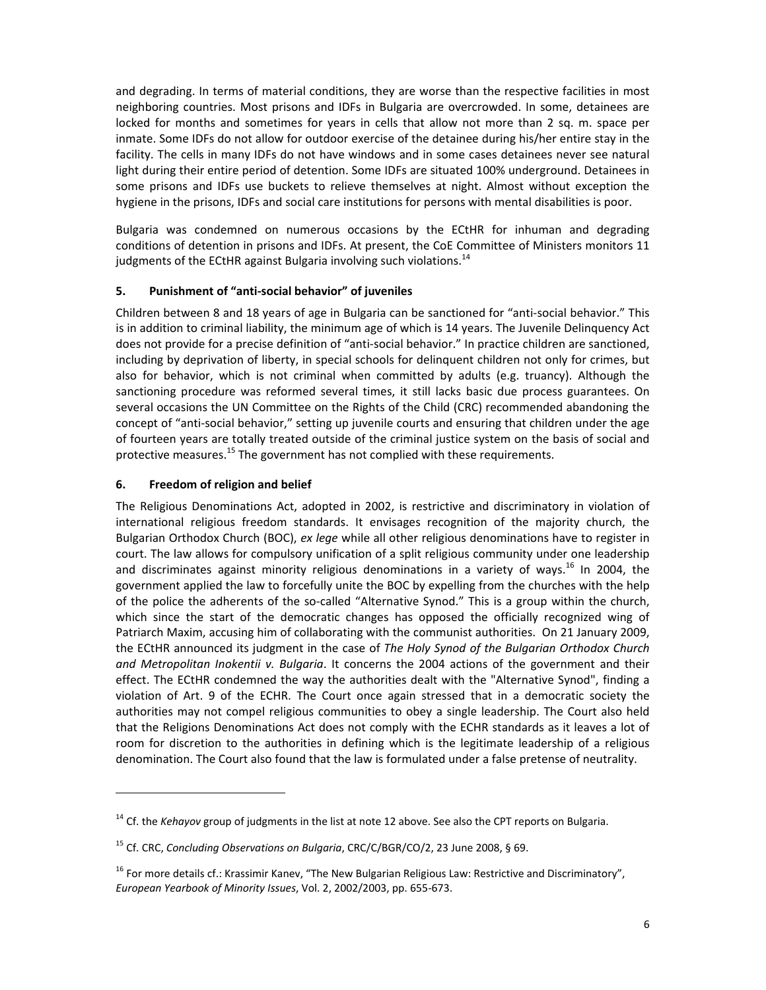and degrading. In terms of material conditions, they are worse than the respective facilities in most neighboring countries. Most prisons and IDFs in Bulgaria are overcrowded. In some, detainees are locked for months and sometimes for years in cells that allow not more than 2 sq. m. space per inmate. Some IDFs do not allow for outdoor exercise of the detainee during his/her entire stay in the facility. The cells in many IDFs do not have windows and in some cases detainees never see natural light during their entire period of detention. Some IDFs are situated 100% underground. Detainees in some prisons and IDFs use buckets to relieve themselves at night. Almost without exception the hygiene in the prisons, IDFs and social care institutions for persons with mental disabilities is poor.

Bulgaria was condemned on numerous occasions by the ECtHR for inhuman and degrading conditions of detention in prisons and IDFs. At present, the CoE Committee of Ministers monitors 11 judgments of the ECtHR against Bulgaria involving such violations.<sup>14</sup>

#### **5. Punishment of "anti‐social behavior" of juveniles**

Children between 8 and 18 years of age in Bulgaria can be sanctioned for "anti‐social behavior." This is in addition to criminal liability, the minimum age of which is 14 years. The Juvenile Delinquency Act does not provide for a precise definition of "anti‐social behavior." In practice children are sanctioned, including by deprivation of liberty, in special schools for delinquent children not only for crimes, but also for behavior, which is not criminal when committed by adults (e.g. truancy). Although the sanctioning procedure was reformed several times, it still lacks basic due process guarantees. On several occasions the UN Committee on the Rights of the Child (CRC) recommended abandoning the concept of "anti-social behavior," setting up juvenile courts and ensuring that children under the age of fourteen years are totally treated outside of the criminal justice system on the basis of social and protective measures.<sup>15</sup> The government has not complied with these requirements.

#### **6. Freedom of religion and belief**

The Religious Denominations Act, adopted in 2002, is restrictive and discriminatory in violation of international religious freedom standards. It envisages recognition of the majority church, the Bulgarian Orthodox Church (BOC), *ex lege* while all other religious denominations have to register in court. The law allows for compulsory unification of a split religious community under one leadership and discriminates against minority religious denominations in a variety of ways.<sup>16</sup> In 2004, the government applied the law to forcefully unite the BOC by expelling from the churches with the help of the police the adherents of the so‐called "Alternative Synod." This is a group within the church, which since the start of the democratic changes has opposed the officially recognized wing of Patriarch Maxim, accusing him of collaborating with the communist authorities. On 21 January 2009, the ECtHR announced its judgment in the case of *The Holy Synod of the Bulgarian Orthodox Church and Metropolitan Inokentii v. Bulgaria*. It concerns the 2004 actions of the government and their effect. The ECtHR condemned the way the authorities dealt with the "Alternative Synod", finding a violation of Art. 9 of the ECHR. The Court once again stressed that in a democratic society the authorities may not compel religious communities to obey a single leadership. The Court also held that the Religions Denominations Act does not comply with the ECHR standards as it leaves a lot of room for discretion to the authorities in defining which is the legitimate leadership of a religious denomination. The Court also found that the law is formulated under a false pretense of neutrality.

<sup>&</sup>lt;sup>14</sup> Cf. the *Kehayov* group of judgments in the list at note 12 above. See also the CPT reports on Bulgaria.

<sup>15</sup> Cf. CRC, *Concluding Observations on Bulgaria*, CRC/C/BGR/CO/2, 23 June 2008, § 69.

<sup>&</sup>lt;sup>16</sup> For more details cf.: Krassimir Kanev, "The New Bulgarian Religious Law: Restrictive and Discriminatory", *European Yearbook of Minority Issues*, Vol. 2, 2002/2003, pp. 655‐673.